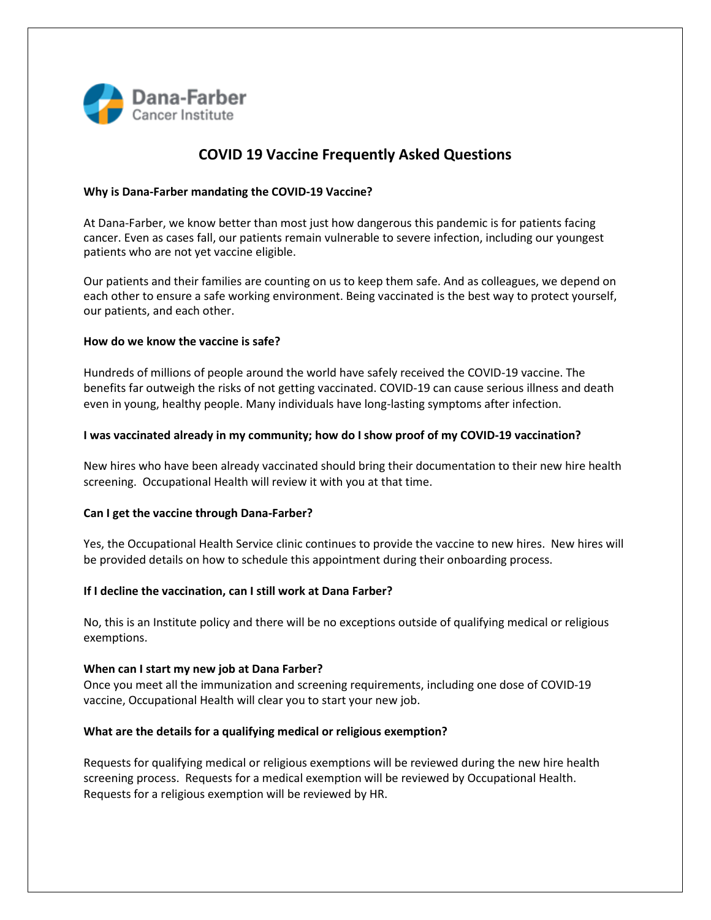

# **COVID 19 Vaccine Frequently Asked Questions**

## **Why is Dana-Farber mandating the COVID-19 Vaccine?**

At Dana-Farber, we know better than most just how dangerous this pandemic is for patients facing cancer. Even as cases fall, our patients remain vulnerable to severe infection, including our youngest patients who are not yet vaccine eligible.

Our patients and their families are counting on us to keep them safe. And as colleagues, we depend on each other to ensure a safe working environment. Being vaccinated is the best way to protect yourself, our patients, and each other.

#### **How do we know the vaccine is safe?**

Hundreds of millions of people around the world have safely received the COVID-19 vaccine. The benefits far outweigh the risks of not getting vaccinated. COVID-19 can cause serious illness and death even in young, healthy people. Many individuals have long-lasting symptoms after infection.

## **I was vaccinated already in my community; how do I show proof of my COVID-19 vaccination?**

New hires who have been already vaccinated should bring their documentation to their new hire health screening. Occupational Health will review it with you at that time.

#### **Can I get the vaccine through Dana-Farber?**

Yes, the Occupational Health Service clinic continues to provide the vaccine to new hires. New hires will be provided details on how to schedule this appointment during their onboarding process.

#### **If I decline the vaccination, can I still work at Dana Farber?**

No, this is an Institute policy and there will be no exceptions outside of qualifying medical or religious exemptions.

#### **When can I start my new job at Dana Farber?**

Once you meet all the immunization and screening requirements, including one dose of COVID-19 vaccine, Occupational Health will clear you to start your new job.

## **What are the details for a qualifying medical or religious exemption?**

Requests for qualifying medical or religious exemptions will be reviewed during the new hire health screening process. Requests for a medical exemption will be reviewed by Occupational Health. Requests for a religious exemption will be reviewed by HR.